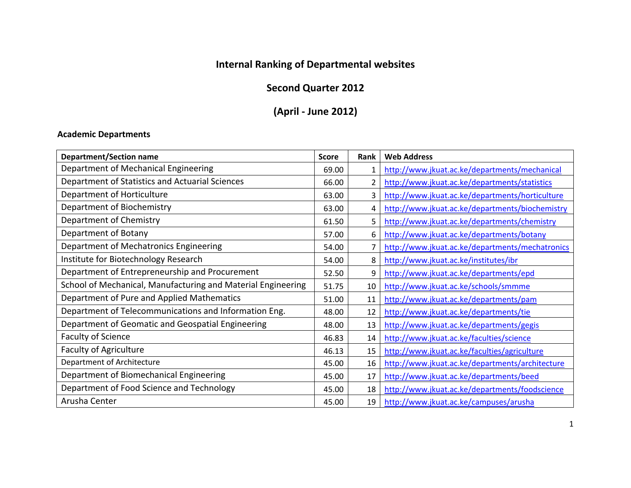# **Internal Ranking of Departmental websites**

## **Second Quarter 2012**

## **(April - June 2012)**

#### **Academic Departments**

| <b>Department/Section name</b>                               | <b>Score</b> | <b>Rank</b> | <b>Web Address</b>                              |
|--------------------------------------------------------------|--------------|-------------|-------------------------------------------------|
| Department of Mechanical Engineering                         | 69.00        |             | http://www.jkuat.ac.ke/departments/mechanical   |
| Department of Statistics and Actuarial Sciences              | 66.00        |             | http://www.jkuat.ac.ke/departments/statistics   |
| Department of Horticulture                                   | 63.00        |             | http://www.jkuat.ac.ke/departments/horticulture |
| Department of Biochemistry                                   | 63.00        |             | http://www.jkuat.ac.ke/departments/biochemistry |
| Department of Chemistry                                      | 61.50        |             | http://www.jkuat.ac.ke/departments/chemistry    |
| Department of Botany                                         | 57.00        |             | http://www.jkuat.ac.ke/departments/botany       |
| Department of Mechatronics Engineering                       | 54.00        |             | http://www.jkuat.ac.ke/departments/mechatronics |
| Institute for Biotechnology Research                         | 54.00        |             | http://www.jkuat.ac.ke/institutes/ibr           |
| Department of Entrepreneurship and Procurement               | 52.50        | 9           | http://www.jkuat.ac.ke/departments/epd          |
| School of Mechanical, Manufacturing and Material Engineering | 51.75        | 10          | http://www.jkuat.ac.ke/schools/smmme            |
| Department of Pure and Applied Mathematics                   | 51.00        | 11          | http://www.jkuat.ac.ke/departments/pam          |
| Department of Telecommunications and Information Eng.        | 48.00        | 12          | http://www.jkuat.ac.ke/departments/tie          |
| Department of Geomatic and Geospatial Engineering            | 48.00        | 13          | http://www.jkuat.ac.ke/departments/gegis        |
| <b>Faculty of Science</b>                                    | 46.83        | 14          | http://www.jkuat.ac.ke/faculties/science        |
| Faculty of Agriculture                                       | 46.13        | 15          | http://www.jkuat.ac.ke/faculties/agriculture    |
| Department of Architecture                                   | 45.00        | 16          | http://www.jkuat.ac.ke/departments/architecture |
| Department of Biomechanical Engineering                      | 45.00        | 17          | http://www.jkuat.ac.ke/departments/beed         |
| Department of Food Science and Technology                    | 45.00        | 18          | http://www.jkuat.ac.ke/departments/foodscience  |
| Arusha Center                                                | 45.00        | 19          | http://www.jkuat.ac.ke/campuses/arusha          |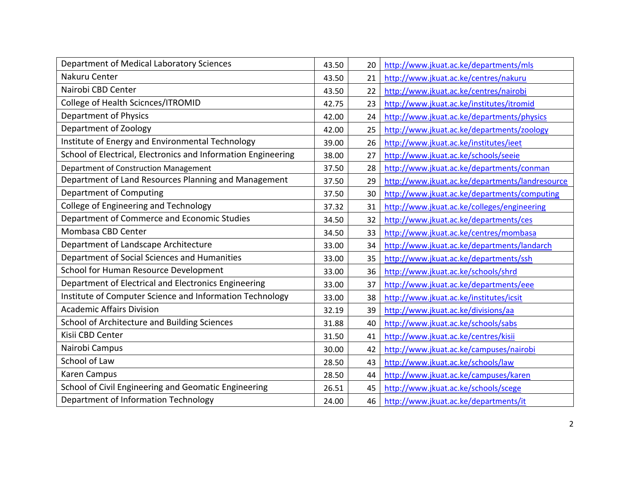| Department of Medical Laboratory Sciences                     | 43.50 | 20 | http://www.jkuat.ac.ke/departments/mls          |
|---------------------------------------------------------------|-------|----|-------------------------------------------------|
| Nakuru Center                                                 | 43.50 | 21 | http://www.jkuat.ac.ke/centres/nakuru           |
| Nairobi CBD Center                                            | 43.50 | 22 | http://www.jkuat.ac.ke/centres/nairobi          |
| College of Health Scicnces/ITROMID                            | 42.75 | 23 | http://www.jkuat.ac.ke/institutes/itromid       |
| Department of Physics                                         | 42.00 | 24 | http://www.jkuat.ac.ke/departments/physics      |
| Department of Zoology                                         | 42.00 | 25 | http://www.jkuat.ac.ke/departments/zoology      |
| Institute of Energy and Environmental Technology              | 39.00 | 26 | http://www.jkuat.ac.ke/institutes/ieet          |
| School of Electrical, Electronics and Information Engineering | 38.00 | 27 | http://www.jkuat.ac.ke/schools/seeie            |
| Department of Construction Management                         | 37.50 | 28 | http://www.jkuat.ac.ke/departments/conman       |
| Department of Land Resources Planning and Management          | 37.50 | 29 | http://www.jkuat.ac.ke/departments/landresource |
| Department of Computing                                       | 37.50 | 30 | http://www.jkuat.ac.ke/departments/computing    |
| College of Engineering and Technology                         | 37.32 | 31 | http://www.jkuat.ac.ke/colleges/engineering     |
| Department of Commerce and Economic Studies                   | 34.50 | 32 | http://www.jkuat.ac.ke/departments/ces          |
| Mombasa CBD Center                                            | 34.50 | 33 | http://www.jkuat.ac.ke/centres/mombasa          |
| Department of Landscape Architecture                          | 33.00 | 34 | http://www.jkuat.ac.ke/departments/landarch     |
| Department of Social Sciences and Humanities                  | 33.00 | 35 | http://www.jkuat.ac.ke/departments/ssh          |
| School for Human Resource Development                         | 33.00 | 36 | http://www.jkuat.ac.ke/schools/shrd             |
| Department of Electrical and Electronics Engineering          | 33.00 | 37 | http://www.jkuat.ac.ke/departments/eee          |
| Institute of Computer Science and Information Technology      | 33.00 | 38 | http://www.jkuat.ac.ke/institutes/icsit         |
| <b>Academic Affairs Division</b>                              | 32.19 | 39 | http://www.jkuat.ac.ke/divisions/aa             |
| School of Architecture and Building Sciences                  | 31.88 | 40 | http://www.jkuat.ac.ke/schools/sabs             |
| Kisii CBD Center                                              | 31.50 | 41 | http://www.jkuat.ac.ke/centres/kisii            |
| Nairobi Campus                                                | 30.00 | 42 | http://www.jkuat.ac.ke/campuses/nairobi         |
| School of Law                                                 | 28.50 | 43 | http://www.jkuat.ac.ke/schools/law              |
| Karen Campus                                                  | 28.50 | 44 | http://www.jkuat.ac.ke/campuses/karen           |
| School of Civil Engineering and Geomatic Engineering          | 26.51 | 45 | http://www.jkuat.ac.ke/schools/scege            |
| Department of Information Technology                          | 24.00 | 46 | http://www.jkuat.ac.ke/departments/it           |